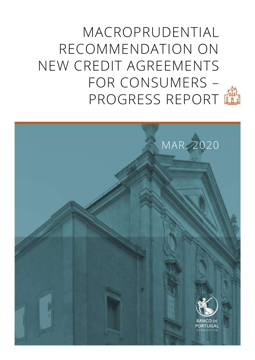MACROPRUDENTIAL RECOMMENDATION ON NEW CREDIT AGREEMENTS FOR CONSUMERS – PROGRESS REPORT

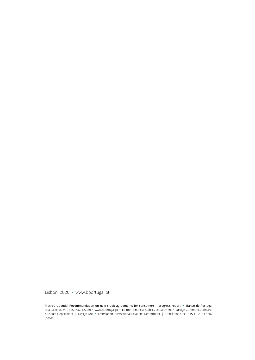Lisbon, 2020 • [www.bportugal.pt](file://bdp.pt/dfs/dcm/grupos/DCMPI/Ativo/Publicacoes/Relatorios/Novo%20layout%202018/Template/www.bportugal.pt)

Macroprudential Recommendation on new credit agreements for consumers – progress report **•** Banco de Portugal Rua Castilho, 24 | 1250-069 Lisbon **•** www.bportugal.pt **•** Edition Financial Stability Department **•** Design Communication and Museum Department | Design Unit **•** Translation International Relations Department | Translation Unit **•** ISSN 2184-5387 (*online*)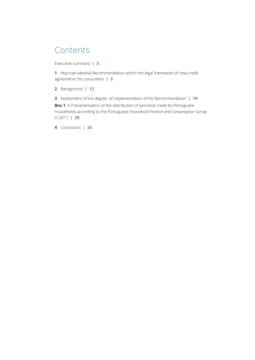## **Contents**

[Executive summary](#page-4-0) **| 3**

**1** [Macroprudential Recommendation within the legal framework of new credit](#page-6-0)  [agreements for consumers](#page-6-0) **| 5**

**2** [Background](#page-13-0) **| 12**

**3** [Assessment of the degree of implementation of the Recommendation](#page-20-0) **| 19**

**Box 1** • Characterisation of the distribution of personal credit by Portuguese households according to the Portuguese *[Household Finance and Consumption Survey](#page-30-0)* [in 2017](#page-30-0) **| 29**

**4** [Conclusion](#page-34-0) **| 33**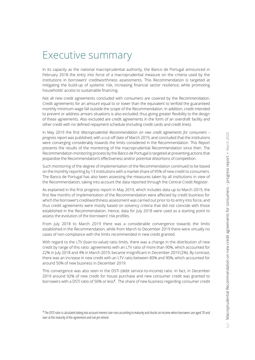## <span id="page-4-0"></span>Executive summary

In its capacity as the national macroprudential authority, the Banco de Portugal announced in February 2018 the entry into force of a macroprudential measure on the criteria used by the institutions in borrowers' creditworthiness assessments. This Recommendation is targeted at mitigating the build-up of systemic risk, increasing financial sector resilience, while promoting households' access to sustainable financing.

Not all new credit agreements concluded with consumers are covered by the Recommendation. Credit agreements for an amount equal to or lower than the equivalent to tenfold the guaranteed monthly minimum wage fall outside the scope of the Recommendation. In addition, credit intended to prevent or address arrears situations is also excluded, thus giving greater flexibility to the design of these agreements. Also excluded are credit agreements in the form of an overdraft facility and other credit with no defined repayment schedule (including credit cards and credit lines).

In May 2019 the first *Macroprudential Recommendation on new credit agreements for consumers – progress report* was published, with a cut-off date of March 2019, and concluded that the institutions were converging considerably towards the limits considered in the Recommendation. This Report presents the results of the monitoring of the macroprudential Recommendation since then. The Recommendation monitoring process by the Banco de Portugal is targeted at preventing actions that jeopardise the Recommendation's effectiveness and/or potential distortions of competition.

Such monitoring of the degree of implementation of the Recommendation continued to be based on the monthly reporting by 13 institutions with a market share of 95% of new credit to consumers. The Banco de Portugal has also been assessing the measures taken by all institutions in view of the Recommendation, taking into account the data reported through the Central Credit Register.

As explained in the first progress report in May 2019, which includes data up to March 2019, the first few months of implementation of the Recommendation were affected by credit business for which the borrower's creditworthiness assessment was carried out prior to its entry into force, and thus credit agreements were mostly based on solvency criteria that did not coincide with those established in the Recommendation. Hence, data for July 2018 were used as a starting point to assess the evolution of the borrowers' risk profiles.

From July 2018 to March 2019 there was a considerable convergence towards the limits established in the Recommendation, while from March to December 2019 there were virtually no cases of non-compliance with the limits recommended in new credit granted.

With regard to the LTV (loan-to-value) ratio limits, there was a change in the distribution of new credit by range of this ratio: agreements with an LTV ratio of more than 90%, which accounted for 22% in July 2018 and 4% in March 2019, became insignificant in December 2019 (2%). By contrast, there was an increase in new credit with an LTV ratio between 80% and 90%, which accounted for around 50% of new business in December 2019.

This convergence was also seen in the DSTI (debt service-to-income) ratio. In fact, in December 2019 around 92% of new credit for house purchase and new consumer credit was granted to borrowers with a DSTI ratio of 50% or less**<sup>1</sup>** . The share of new business regarding consumer credit

**1** The DSTI ratio is calculated taking into account interest rate rises according to maturity and shocks on income when borrowers are aged 70 and over at the maturity of the agreement and not yet retired.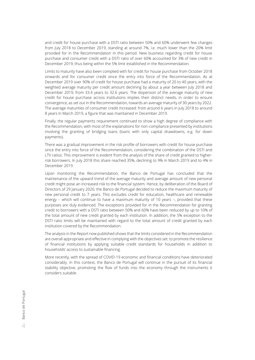and credit for house purchase with a DSTI ratio between 50% and 60% underwent few changes from July 2018 to December 2019, standing at around 7%, i.e. much lower than the 20% limit provided for in the Recommendation in this period. New business regarding credit for house purchase and consumer credit with a DSTI ratio of over 60% accounted for 3% of new credit in December 2019, thus being within the 5% limit established in the Recommendation.

Limits to maturity have also been complied with for credit for house purchase from October 2018 onwards and for consumer credit since the entry into force of the Recommendation. As at December 2019 over 90% of credit for house purchase had a maturity of 20 to 40 years, with the weighted average maturity per credit amount declining by about a year between July 2018 and December 2019, from 33.4 years to 32.6 years. The dispersion of the average maturity of new credit for house purchase across institutions implies their distinct needs, in order to ensure convergence, as set out in the Recommendation, towards an average maturity of 30 years by 2022. The average maturities of consumer credit increased: from around 6 years in July 2018 to around 8 years in March 2019, a figure that was maintained in December 2019.

Finally, the regular payments requirement continued to show a high degree of compliance with the Recommendation, with most of the explanations for non-compliance presented by institutions involving the granting of bridging loans (loans with only capital drawdowns, e.g. for down payments).

There was a gradual improvement in the risk profile of borrowers with credit for house purchase since the entry into force of the Recommendation, considering the combination of the DSTI and LTV ratios. This improvement is evident from the analysis of the share of credit granted to higherrisk borrowers. In July 2018 this share reached 35%, declining to 9% in March 2019 and to 4% in December 2019.

Upon monitoring the Recommendation, the Banco de Portugal has concluded that the maintenance of the upward trend of the average maturity and average amount of new personal credit might pose an increased risk to the financial system. Hence, by deliberation of the Board of Directors of 29 January 2020, the Banco de Portugal decided to reduce the maximum maturity of new personal credit to 7 years. This excludes credit for education, healthcare and renewable energy – which will continue to have a maximum maturity of 10 years –, provided that these purposes are duly evidenced. The exceptions provided for in the Recommendation for granting credit to borrowers with a DSTI ratio between 50% and 60% have been reduced by up to 10% of the total amount of new credit granted by each institution. In addition, the 5% exception to the DSTI ratio limits will be maintained with regard to the total amount of credit granted by each institution covered by the Recommendation.

The analysis in the Report now published shows that the limits considered in the Recommendation are overall appropriate and effective in complying with the objectives set: to promote the resilience of financial institutions by applying suitable credit standards for households in addition to households' access to sustainable financing.

More recently, with the spread of COVID-19 economic and financial conditions have deteriorated considerably. In this context, the Banco de Portugal will continue in the pursuit of its financial stability objective, promoting the flow of funds into the economy through the instruments it considers suitable.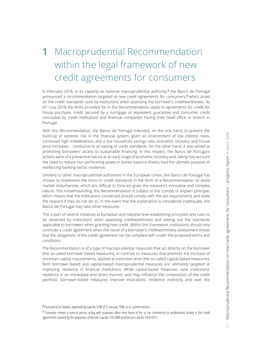# <span id="page-6-0"></span>**1** Macroprudential Recommendation within the legal framework of new credit agreements for consumers

In February 2018, in its capacity as national macroprudential authority,**<sup>2</sup>** the Banco de Portugal announced a recommendation targeted at new credit agreements for consumers,**<sup>3</sup>** which acted on the credit standards used by institutions when assessing the borrower's creditworthiness. As of 1 July 2018 the limits provided for in the Recommendation apply to agreements for credit for house purchase, credit secured by a mortgage or equivalent guarantee and consumer credit concluded by credit institutions and financial companies having their head office or branch in Portugal.

With this Recommendation, the Banco de Portugal intended, on the one hand, to prevent the build-up of systemic risk in the financial system, given an environment of low interest rates, continued high indebtedness and a low household savings rate, economic recovery and house price increases – conducive to an easing of credit standards. On the other hand, it also aimed at promoting borrowers' access to sustainable financing. In this respect, the Banco de Portugal's actions were of a preventive nature at an early stage of economic recovery and, taking into account the need to reduce non-performing assets in banks' balance sheets, had the ultimate purpose of reinforcing banking sector resilience.

Similarly to other macroprudential authorities in the European Union, the Banco de Portugal has chosen to implement the limits to credit standards in the form of a Recommendation, to avoid market disturbances, which are difficult to forecast given the measure's innovative and complex nature. This notwithstanding, the Recommendation is subject to the 'comply or explain' principle, which means that the institutions concerned should comply with the set requirements and state the reasons if they do not do so. In the event that the explanation is considered inadequate, the Banco de Portugal may take other measures.

This is part of several initiatives at European and national level establishing principles and rules to be observed by institutions when assessing creditworthiness and setting out the standards applicable to borrowers when granting new credit. Within this framework, institutions should only conclude a credit agreement when the result of a borrower's creditworthiness assessment shows that the obligations of the credit agreement can be complied with under the proposed terms and conditions.

The Recommendation is of a type of macroprudential measures that act directly on the borrower (the so-called borrower-based measures), in contrast to measures that promote the increase of minimum capital requirements, applied at institution level (the so-called capital-based measures). Both borrower-based and capital-based macroprudential measures are ultimately targeted at improving resilience in financial institutions. While capital-based measures raise institutions' resilience in an immediate and direct manner, and may influence the composition of the credit portfolio, borrower-based measures improve institutions' resilience indirectly and over the

**2** Pursuant to its Statute, approved by Law No 5/98 of 31 January 1998, in its current version.

**3** Consumer means a natural person acting with purposes other than those of his or her commercial or professional activity in the credit agreements covered by the provisions of Decree-Law No 133/2009 and Decree-Law No 74-A/2017.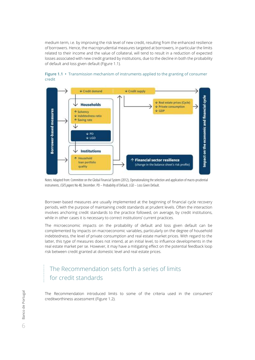medium term, i.e. by improving the risk level of new credit, resulting from the enhanced resilience of borrowers. Hence, the macroprudential measures targeted at borrowers, in particular the limits related to their income and the value of collateral, will tend to result in a reduction of expected losses associated with new credit granted by institutions, due to the decline in both the probability of default and loss given default (Figure 1.1).



#### **Figure 1.1 •** Transmission mechanism of instruments applied to the granting of consumer credit

Notes: Adapted from: Committee on the Global Financial System (2012), Operationalizing the selection and application of macro-prudential instruments, *CGFS papers* No 48, December. PD – Probability of Default, LGD – Loss Given Default.

Borrower-based measures are usually implemented at the beginning of financial cycle recovery periods, with the purpose of maintaining credit standards at prudent levels. Often the interaction involves anchoring credit standards to the practice followed, on average, by credit institutions, while in other cases it is necessary to correct institutions' current practices.

The microeconomic impacts on the probability of default and loss given default can be complemented by impacts on macroeconomic variables, particularly on the degree of household indebtedness, the level of private consumption and real estate market prices. With regard to the latter, this type of measures does not intend, at an initial level, to influence developments in the real estate market per se. However, it may have a mitigating effect on the potential feedback loop risk between credit granted at domestic level and real estate prices.

### The Recommendation sets forth a series of limits for credit standards

The Recommendation introduced limits to some of the criteria used in the consumers' creditworthiness assessment (Figure 1.2).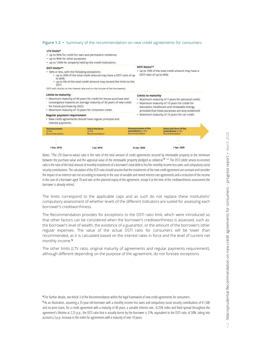#### **Figure 1.2 •** Summary of the recommendation on new credit agreements for consumers

#### **LTV limits\***

- · up to 90% for credit for own and permanent residence;
- up to 90% for other purposes;
- up to 100% for property held by the credit institutions. DSTI limits\*\* DSTI limits\*\* . up to 10% of the total credit amount may have a . 50% or less, with the following exceptions: DSTI ratio of up to 60% . up to 20% of the total credit amount may have a DSTI ratio of up to 60% • up to 5% of the total credit amount may exceed the limits to the DSTL DSTI with shocks on the interest rate and on the income of the borrower(s) Limits to maturity: **Limits to maturity** . Maximum maturity of 40 years for credit for house purchase and · Maximum maturity of 7 years for personal credit; convergence towards an average maturity of 30 years of new credit · Maximum maturity of 10 years for credit for for house purchase by 2022; education, healthcare and renewable energy, · Maximum maturity of 10 years for consumer credit. provided that these purposes are duly evidenced . Maximum maturity of 10 years for car credit. **Regular payment requirement** New credit agreements should have regular principal and interest payments.

| <b>Announcement</b><br>ot the<br>Recommendation | <b>Entry into force</b><br>of the<br>Recommendation | Announcement of the<br>amendment to the<br>Recommendation | Entry into force of the<br>amendment to the<br>stecommendatum |  |
|-------------------------------------------------|-----------------------------------------------------|-----------------------------------------------------------|---------------------------------------------------------------|--|
| ____<br>_____                                   | ___                                                 | _______                                                   | <b>The Contract Contract Contract Contract</b>                |  |
|                                                 |                                                     |                                                           |                                                               |  |
|                                                 |                                                     |                                                           | <b>SECURITY AND</b>                                           |  |
| 1 Dec. 2018                                     | 1 Jul. 2018                                         | 31 Jan. 2020                                              | 1 Apr. 2020                                                   |  |

Notes: \*The LTV (loan-to-value) ratio is the ratio of the total amount of credit agreements secured by immovable property to the minimum between the purchase value and the appraisal value of the immovable property pledged as collateral.**<sup>4</sup>** \*\* The DSTI (debt service-to-income) ratio is the ratio of the total amount of monthly instalments of a borrower's total debt to his/her monthly income less taxes and compulsory social security contributions. The calculation of the DSTI ratio should assume that the instalments of the new credit agreement are constant and consider the impact of an interest rate rise according to maturity in the case of variable and mixed interest rate agreements and a reduction of the income in the case of a borrower aged 70 and over at the planned expiry of the agreement, except if at the time of the creditworthiness assessment the borrower is already retired.

The limits correspond to the applicable caps and as such do not replace these institutions' compulsory assessment of whether levels of the different indicators are suited for assessing each borrower's creditworthiness.

The Recommendation provides for exceptions to the DSTI ratio limit, which were introduced so that other factors can be considered when the borrower's creditworthiness is assessed, such as: the borrower's level of wealth, the existence of a guarantor, or the amount of the borrower's other regular expenses. The value of the actual DSTI ratio for consumers will be lower than recommended, as it is calculated based on the interest rates in force and the level of current net monthly income.**<sup>5</sup>**

The other limits (LTV ratio, original maturity of agreements and regular payments requirement), although different depending on the purpose of the agreement, do not foresee exceptions.

**<sup>4</sup>** For further details, see Article 3 of the Recommendation within the legal framework of new credit agreements for consumers.

**<sup>5</sup>** As an illustration, assuming a 35-year-old borrower with a monthly income less taxes and compulsory social security contributions of €1,500 and no prior loans, for a credit agreement with a maturity of 40 years, a variable interest rate, -0.25% index and fixed spread throughout the agreement's lifetime at 2.25 p.p., the DSTI ratio that is actually borne by the borrower is 31%, equivalent to the DSTI ratio of 50%, taking into account a 3 p.p. increase in the index for agreements with a maturity of over 10 years.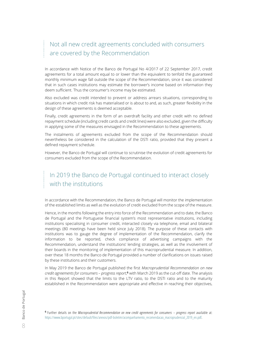## Not all new credit agreements concluded with consumers are covered by the Recommendation

In accordance with Notice of the Banco de Portugal No 4/2017 of 22 September 2017, credit agreements for a total amount equal to or lower than the equivalent to tenfold the guaranteed monthly minimum wage fall outside the scope of the Recommendation, since it was considered that in such cases institutions may estimate the borrower's income based on information they deem sufficient. Thus the consumer's income may be estimated.

Also excluded was credit intended to prevent or address arrears situations, corresponding to situations in which credit risk has materialised or is about to and, as such, greater flexibility in the design of these agreements is deemed acceptable.

Finally, credit agreements in the form of an overdraft facility and other credit with no defined repayment schedule (including credit cards and credit lines) were also excluded, given the difficulty in applying some of the measures envisaged in the Recommendation to these agreements.

The instalments of agreements excluded from the scope of the Recommendation should nevertheless be considered in the calculation of the DSTI ratio, provided that they present a defined repayment schedule.

However, the Banco de Portugal will continue to scrutinise the evolution of credit agreements for consumers excluded from the scope of the Recommendation.

## In 2019 the Banco de Portugal continued to interact closely with the institutions

In accordance with the Recommendation, the Banco de Portugal will monitor the implementation of the established limits as well as the evolution of credit excluded from the scope of the measure.

Hence, in the months following the entry into force of the Recommendation and to date, the Banco de Portugal and the Portuguese financial system's most representative institutions, including institutions specialising in consumer credit, interacted closely via telephone, email and bilateral meetings (80 meetings have been held since July 2018). The purpose of these contacts with institutions was to gauge the degree of implementation of the Recommendation, clarify the information to be reported, check compliance of advertising campaigns with the Recommendation, understand the institutions' lending strategies, as well as the involvement of their boards in the monitoring of implementation of this macroprudential measure. In addition, over these 18 months the Banco de Portugal provided a number of clarifications on issues raised by these institutions and their customers.

In May 2019 the Banco de Portugal published the first *Macroprudential Recommendation on new credit agreements for consumers – progress report*, **<sup>6</sup>** with March 2019 as the cut-off date. The analysis in this Report showed that the limits to the LTV ratio, to the DSTI ratio and to the maturity established in the Recommendation were appropriate and effective in reaching their objectives,

**6** Further details on the *Macroprudential Recommendation on new credit agreements for consumers – progress report* available at: [https://www.bportugal.pt/sites/default/files/anexos/pdf-boletim/acompanhamento\\_recomendacao\\_macroprudencial\\_2019\\_en.pdf.](https://www.bportugal.pt/sites/default/files/anexos/pdf-boletim/acompanhamento_recomendacao_macroprudencial_2019_en.pdf)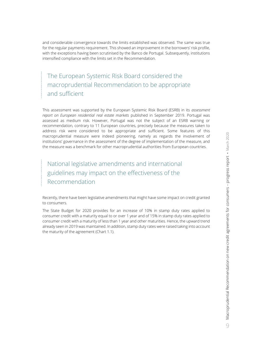and considerable convergence towards the limits established was observed. The same was true for the regular payments requirement. This showed an improvement in the borrowers' risk profile, with the exceptions having been scrutinised by the Banco de Portugal. Subsequently, institutions intensified compliance with the limits set in the Recommendation.

The European Systemic Risk Board considered the macroprudential Recommendation to be appropriate and sufficient

This assessment was supported by the European Systemic Risk Board (ESRB) in its *assessment report on European residential real estate markets* published in September 2019. Portugal was assessed as medium risk. However, Portugal was not the subject of an ESRB warning or recommendation, contrary to 11 European countries, precisely because the measures taken to address risk were considered to be appropriate and sufficient. Some features of this macroprudential measure were indeed pioneering, namely as regards the involvement of institutions' governance in the assessment of the degree of implementation of the measure, and the measure was a benchmark for other macroprudential authorities from European countries.

National legislative amendments and international guidelines may impact on the effectiveness of the Recommendation

Recently, there have been legislative amendments that might have some impact on credit granted to consumers.

The State Budget for 2020 provides for an increase of 10% in stamp duty rates applied to consumer credit with a maturity equal to or over 1 year and of 15% in stamp duty rates applied to consumer credit with a maturity of less than 1 year and other maturities. Hence, the upward trend already seen in 2019 was maintained. In addition, stamp duty rates were raised taking into account the maturity of the agreement (Chart 1.1).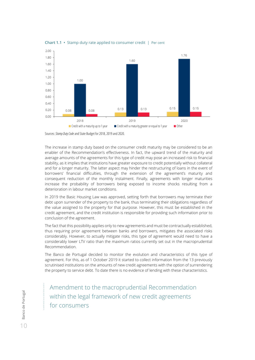



Sources: *Stamp Duty Code* and State Budget for 2018, 2019 and 2020.

The increase in stamp duty based on the consumer credit maturity may be considered to be an enabler of the Recommendation's effectiveness. In fact, the upward trend of the maturity and average amounts of the agreements for this type of credit may pose an increased risk to financial stability, as it implies that institutions have greater exposure to credit potentially without collateral and for a longer maturity. The latter aspect may hinder the restructuring of loans in the event of borrowers' financial difficulties, through the extension of the agreement's maturity and consequent reduction of the monthly instalment. Finally, agreements with longer maturities increase the probability of borrowers being exposed to income shocks resulting from a deterioration in labour market conditions.

In 2019 the Basic Housing Law was approved, setting forth that borrowers may terminate their debt upon surrender of the property to the bank, thus terminating their obligations regardless of the value assigned to the property for that purpose. However, this must be established in the credit agreement, and the credit institution is responsible for providing such information prior to conclusion of the agreement.

The fact that this possibility applies only to new agreements and must be contractually established, thus requiring prior agreement between banks and borrowers, mitigates the associated risks considerably. However, to actually mitigate risks, this type of agreement would need to have a considerably lower LTV ratio than the maximum ratios currently set out in the macroprudential Recommendation.

The Banco de Portugal decided to monitor the evolution and characteristics of this type of agreement. For this, as of 1 October 2019 it started to collect information from the 13 previously scrutinised institutions on the amounts of new credit agreements with the option of surrendering the property to service debt. To date there is no evidence of lending with these characteristics.

 $\overrightarrow{a}$  Banco de Portugal Banco de Portugal  $10$  Amendment to the macroprudential Recommendation within the legal framework of new credit agreements for consumers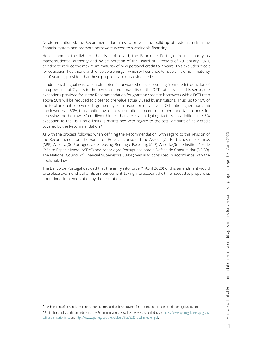As aforementioned, the Recommendation aims to prevent the build-up of systemic risk in the financial system and promote borrowers' access to sustainable financing.

Hence, and in the light of the risks observed, the Banco de Portugal, in its capacity as macroprudential authority and by deliberation of the Board of Directors of 29 January 2020, decided to reduce the maximum maturity of new personal credit to 7 years. This excludes credit for education, healthcare and renewable energy – which will continue to have a maximum maturity of 10 years –, provided that these purposes are duly evidenced.**<sup>7</sup>**

In addition, the goal was to contain potential unwanted effects resulting from the introduction of an upper limit of 7 years to the personal credit maturity on the DSTI ratio level. In this sense, the exceptions provided for in the Recommendation for granting credit to borrowers with a DSTI ratio above 50% will be reduced to closer to the value actually used by institutions. Thus, up to 10% of the total amount of new credit granted by each institution may have a DSTI ratio higher than 50% and lower than 60%, thus continuing to allow institutions to consider other important aspects for assessing the borrowers' creditworthiness that are risk mitigating factors. In addition, the 5% exception to the DSTI ratio limits is maintained with regard to the total amount of new credit covered by the Recommendation.**<sup>8</sup>**

As with the process followed when defining the Recommendation, with regard to this revision of the Recommendation, the Banco de Portugal consulted the Associação Portuguesa de Bancos (APB), Associação Portuguesa de Leasing, Renting e Factoring (ALF), Associação de Instituições de Crédito Especializado (ASFAC) and Associação Portuguesa para a Defesa do Consumidor (DECO). The National Council of Financial Supervisors (CNSF) was also consulted in accordance with the applicable law.

The Banco de Portugal decided that the entry into force (1 April 2020) of this amendment would take place two months after its announcement, taking into account the time needed to prepare its operational implementation by the institutions.

**7** The definitions of personal credit and car credit correspond to those provided for in Instruction of the Banco de Portugal No 14/2013.

**8** For further details on the amendment to the Recommendation, as well as the reasons behind it, see [https://www.bportugal.pt/en/page/ltv](https://www.bportugal.pt/en/page/ltv-dsti-and-maturity-limits)dsti-and-maturity-limits an[d https://www.bportugal.pt/sites/default/files/2020\\_doclimites\\_en.pdf.](https://www.bportugal.pt/sites/default/files/2020_doclimites_en.pdf)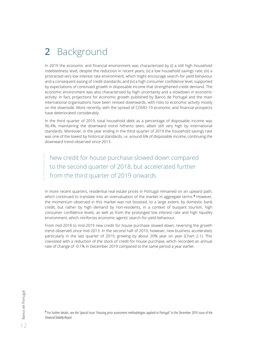## <span id="page-13-0"></span>**2** Background

In 2019 the economic and financial environment was characterised by (i) a still high household indebtedness level, despite the reduction in recent years; (ii) a low household savings rate; (iii) a protracted very low interest rate environment, which might encourage search-for-yield behaviour and a consequent easing of credit standards; and (iv) a high consumer confidence level, supported by expectations of continued growth in disposable income that strengthened credit demand. The economic environment was also characterised by high uncertainty and a slowdown in economic activity. In fact, projections for economic growth published by Banco de Portugal and the main international organisations have been revised downwards, with risks to economic activity mostly on the downside. More recently, with the spread of COVID-19 economic and financial prospects have deteriorated considerably.

In the third quarter of 2019, total household debt as a percentage of disposable income was 96.4%, maintaining the downward trend hitherto seen, albeit still very high by international standards. Moreover, in the year ending in the third quarter of 2019 the household savings rate was one of the lowest by historical standards, i.e. around 6% of disposable income, continuing the downward trend observed since 2013.

New credit for house purchase slowed down compared to the second quarter of 2018, but accelerated further from the third quarter of 2019 onwards

In more recent quarters, residential real estate prices in Portugal remained on an upward path, which continued to translate into an overvaluation of the market in aggregate terms.**<sup>9</sup>** However, the momentum observed in this market was not boosted, to a large extent, by domestic bank credit, but rather by high demand by non-residents, in a context of buoyant tourism, high consumer confidence levels, as well as from the prolonged low interest rate and high liquidity environment, which reinforces economic agents' search-for-yield behaviour.

From mid-2018 to mid-2019 new credit for house purchase slowed down, reversing the growth trend observed since mid-2013. In the second half of 2019, however, new business accelerated, particularly in the last quarter of 2019, growing by about 20% year on year (Chart 2.1). This coexisted with a reduction of the stock of credit for house purchase, which recorded an annual rate of change of -0.1% in December 2019 compared to the same period a year earlier.

**9** For further details, see the Special Issue "Housing price assessment methodologies applied to Portugal" in the December 2019 issue of the *Financial Stability Report*.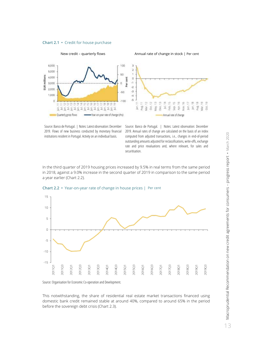



Source: Banco de Portugal. | Notes: Latest observation: December 2019. Flows of new business conducted by monetary financial institutions resident in Portugal. Activity on an individual basis.

Source: Banco de Portugal. | Notes: Latest observation: December 2019. Annual rates of change are calculated on the basis of an index computed from adjusted transactions, i.e., changes in end-of-period outstanding amounts adjusted for reclassifications, write-offs, exchange rate and price revaluations and, where relevant, for sales and securitisation.

In the third quarter of 2019 housing prices increased by 9.5% in real terms from the same period in 2018, against a 9.0% increase in the second quarter of 2019 in comparison to the same period a year earlier (Chart 2.2).



**Chart 2.2 •** Year-on-year rate of change in house prices | Per cent

Source: Organisation for Economic Co-operation and Development.

This notwithstanding, the share of residential real estate market transactions financed using domestic bank credit remained stable at around 40%, compared to around 65% in the period before the sovereign debt crisis (Chart 2.3).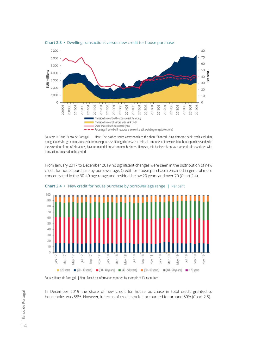

#### **Chart 2.3 •** Dwelling transactions versus new credit for house purchase

Sources: INE and Banco de Portugal. | Note: The dashed series corresponds to the share financed using domestic bank credit excluding renegotiations in agreements for credit for house purchase. Renegotiations are a residual component of new credit for house purchase and, with the exception of one-off situations, have no material impact on new business. However, this business is not as a general rule associated with transactions occurred in the period.

From January 2017 to December 2019 no significant changes were seen in the distribution of new credit for house purchase by borrower age. Credit for house purchase remained in general more concentrated in the 30-40 age range and residual below 20 years and over 70 (Chart 2.4).



**Chart 2.4 •** New credit for house purchase by borrower age range | Per cent

Source: Banco de Portugal. | Note: Based on information reported by a sample of 13 institutions.

In December 2019 the share of new credit for house purchase in total credit granted to households was 55%. However, in terms of credit stock, it accounted for around 80% (Chart 2.5).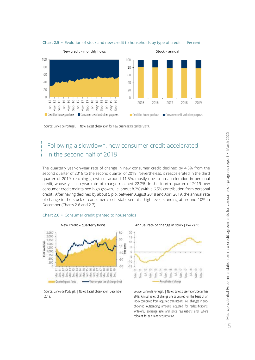

**Chart 2.5 •** Evolution of stock and new credit to households by type of credit | Per cent

Source: Banco de Portugal. | Note: Latest observation for new business: December 2019.

## Following a slowdown, new consumer credit accelerated in the second half of 2019

The quarterly year-on-year rate of change in new consumer credit declined by 4.5% from the second quarter of 2018 to the second quarter of 2019. Nevertheless, it reaccelerated in the third quarter of 2019, reaching growth of around 11.5%, mostly due to an acceleration in personal credit, whose year-on-year rate of change reached 22.2%. In the fourth quarter of 2019 new consumer credit maintained high growth, i.e. about 8.2% (with a 6.5% contribution from personal credit). After having declined by about 5 p.p. between August 2018 and April 2019, the annual rate of change in the stock of consumer credit stabilised at a high level, standing at around 10% in December (Charts 2.6 and 2.7).





Source: Banco de Portugal. | Notes: Latest observation: December 2019.

Source: Banco de Portugal. | Notes: Latest observation: December 2019. Annual rates of change are calculated on the basis of an index computed from adjusted transactions, i.e., changes in endof-period outstanding amounts adjusted for reclassifications, write-offs, exchange rate and price revaluations and, where relevant, for sales and securitisation.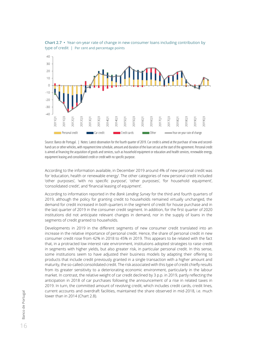

**Chart 2.7 •** Year-on-year rate of change in new consumer loans including contribution by type of credit | Per cent and percentage points

Source: Banco de Portugal. | Notes: Latest observation for the fourth quarter of 2019. Car credit is aimed at the purchase of new and secondhand cars or other vehicles, with repayment time schedule, amount and duration of the loan set out at the start of the agreement. Personal credit is aimed at financing the acquisition of goods and services, such as household equipment or education and health services, renewable energy, equipment leasing and consolidated credit or credit with no specific purpose.

According to the information available, in December 2019 around 4% of new personal credit was for 'education, health or renewable energy'. The other categories of new personal credit included 'other purposes', 'with no specific purpose', 'other purposes', 'for household equipment', 'consolidated credit', and 'financial leasing of equipment'.

According to information reported in the *Bank Lending Survey* for the third and fourth quarters of 2019, although the policy for granting credit to households remained virtually unchanged, the demand for credit increased in both quarters in the segment of credit for house purchase and in the last quarter of 2019 in the consumer credit segment. In addition, for the first quarter of 2020 institutions did not anticipate relevant changes in demand, nor in the supply of loans in the segments of credit granted to households.

Developments in 2019 in the different segments of new consumer credit translated into an increase in the relative importance of personal credit. Hence, the share of personal credit in new consumer credit rose from 42% in 2018 to 45% in 2019. This appears to be related with the fact that, in a protracted low interest rate environment, institutions adopted strategies to raise credit in segments with higher yields, but also greater risk, in particular personal credit. In this sense, some institutions seem to have adjusted their business models by adapting their offering to products that include credit previously granted in a single transaction with a higher amount and maturity, the so-called consolidated credit. The risk associated with this type of credit chiefly results from its greater sensitivity to a deteriorating economic environment, particularly in the labour market. In contrast, the relative weight of car credit declined by 3 p.p. in 2019, partly reflecting the anticipation in 2018 of car purchases following the announcement of a rise in related taxes in 2019. In turn, the committed amount of revolving credit, which includes credit cards, credit lines, current accounts and overdraft facilities, maintained the share observed in mid-2018, i.e. much lower than in 2014 (Chart 2.8).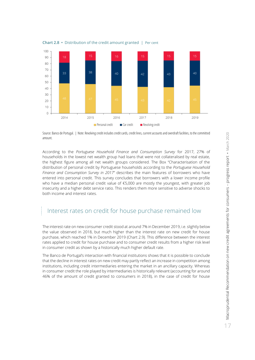



Source: Banco de Portugal. | Note: Revolving credit includes credit cards, credit lines, current accounts and overdraft facilities, to the committed amount.

According to the *Portuguese Household Finance and Consumption Survey* for 2017, 27% of households in the lowest net wealth group had loans that were not collateralised by real estate, the highest figure among all net wealth groups considered. The Box "Characterisation of the distribution of personal credit by Portuguese households according to the *Portuguese Household Finance and Consumption Survey in 2017*" describes the main features of borrowers who have entered into personal credit. This survey concludes that borrowers with a lower income profile who have a median personal credit value of €5,000 are mostly the youngest, with greater job insecurity and a higher debt service ratio. This renders them more sensitive to adverse shocks to both income and interest rates.

### Interest rates on credit for house purchase remained low

The interest rate on new consumer credit stood at around 7% in December 2019, i.e. slightly below the value observed in 2018, but much higher than the interest rate on new credit for house purchase, which reached 1% in December 2019 (Chart 2.9). This difference between the interest rates applied to credit for house purchase and to consumer credit results from a higher risk level in consumer credit as shown by a historically much higher default rate.

The Banco de Portugal's interaction with financial institutions shows that it is possible to conclude that the decline in interest rates on new credit may partly reflect an increase in competition among institutions, including credit intermediaries entering the market in an ancillary capacity. Whereas in consumer credit the role played by intermediaries is historically relevant (accounting for around 46% of the amount of credit granted to consumers in 2018), in the case of credit for house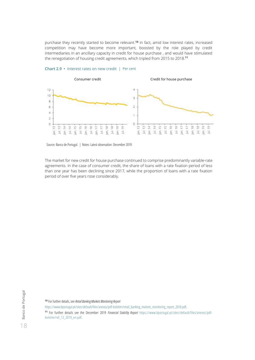purchase they recently started to become relevant.**<sup>10</sup>** In fact, amid low interest rates, increased competition may have become more important, boosted by the role played by credit intermediaries in an ancillary capacity in credit for house purchase , and would have stimulated the renegotiation of housing credit agreements, which tripled from 2015 to 2018.**<sup>11</sup>**



#### **Chart 2.9 •** Interest rates on new credit | Per cent

Source: Banco de Portugal. | Notes: Latest observation: December 2019.

The market for new credit for house purchase continued to comprise predominantly variable-rate agreements. In the case of consumer credit, the share of loans with a rate fixation period of less than one year has been declining since 2017, while the proportion of loans with a rate fixation period of over five years rose considerably.

**<sup>10</sup>** For further details, see *Retail Banking Markets Monitoring Report*

[https://www.bportugal.pt/sites/default/files/anexos/pdf-boletim/retail\\_banking\\_markets\\_monitoring\\_report\\_2018.pdf.](https://www.bportugal.pt/sites/default/files/anexos/pdf-boletim/retail_banking_markets_monitoring_report_2018.pdf) **<sup>11</sup>** For further details see the December 2019 *Financial Stability Report* [https://www.bportugal.pt/sites/default/files/anexos/pdf](https://www.bportugal.pt/sites/default/files/anexos/pdf-boletim/ref_12_2019_en.pdf)[boletim/ref\\_12\\_2019\\_en.pdf.](https://www.bportugal.pt/sites/default/files/anexos/pdf-boletim/ref_12_2019_en.pdf)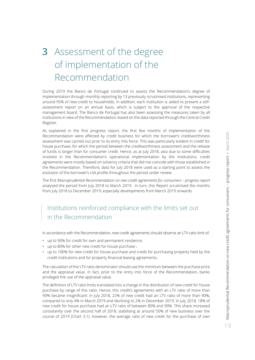## <span id="page-20-0"></span>**3** Assessment of the degree of implementation of the Recommendation

During 2019 the Banco de Portugal continued to assess the Recommendation's degree of implementation through monthly reporting by 13 previously scrutinised institutions, representing around 95% of new credit to households. In addition, each institution is asked to present a selfassessment report on an annual basis, which is subject to the approval of the respective management board. The Banco de Portugal has also been assessing the measures taken by all institutions in view of the Recommendation, based on the data reported through the Central Credit Register.

As explained in the first progress report, the first few months of implementation of the Recommendation were affected by credit business for which the borrower's creditworthiness assessment was carried out prior to its entry into force. This was particularly evident in credit for house purchase, for which the period between the creditworthiness assessment and the release of funds is longer than for consumer credit. Hence, as at July 2018, also due to some difficulties involved in the Recommendation's operational implementation by the institutions, credit agreements were mostly based on solvency criteria that did not coincide with those established in the Recommendation. Therefore, data for July 2018 were used as a starting point to assess the evolution of the borrower's risk profile throughout the period under review.

The first *Macroprudential Recommendation on new credit agreements for consumers - progress report* analysed the period from July 2018 to March 2019. In turn, this Report scrutinised the months from July 2018 to December 2019, especially developments from March 2019 onwards.

## Institutions reinforced compliance with the limits set out in the Recommendation

In accordance with the Recommendation, new credit agreements should observe an LTV ratio limit of:

- **•** up to 90% for credit for own and permanent residence;
- **•** up to 80% for other new credit for house purchase ;
- **•** up to 100% for new credit for house purchase and credit for purchasing property held by the credit institutions and for property financial leasing agreements.

The calculation of the LTV ratio denominator should use the minimum between the purchase price and the appraisal value. In fact, prior to the entry into force of the Recommendation, banks privileged the use of the appraisal value.

The definition of LTV ratio limits translated into a change in the distribution of new credit for house purchase by range of this ratio. Hence, this credit's agreements with an LTV ratio of more than 90% became insignificant: in July 2018, 22% of new credit had an LTV ratio of more than 90%, compared to only 4% in March 2019 and declining to 2% in December 2019. In July 2018, 18% of new credit for house purchase had an LTV ratio of between 80% and 90%. This share increased consistently over the second half of 2018, stabilising at around 50% of new business over the course of 2019 (Chart 3.1). However, the average ratio of new credit for the purchase of own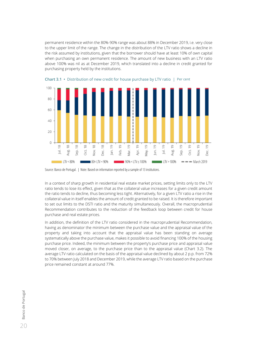permanent residence within the 80%-90% range was about 88% in December 2019, i.e. very close to the upper limit of the range. The change in the distribution of the LTV ratio shows a decline in the risk assumed by institutions, given that the borrower should have at least 10% of own capital when purchasing an own permanent residence. The amount of new business with an LTV ratio above 100% was nil as at December 2019, which translated into a decline in credit granted for purchasing property held by the institutions.





In a context of sharp growth in residential real estate market prices, setting limits only to the LTV ratio tends to lose its effect, given that as the collateral value increases for a given credit amount the ratio tends to decline, thus becoming less tight. Alternatively, for a given LTV ratio a rise in the collateral value in itself enables the amount of credit granted to be raised. It is therefore important to set out limits to the DSTI ratio and the maturity simultaneously. Overall, the macroprudential Recommendation contributes to the reduction of the feedback loop between credit for house purchase and real estate prices.

In addition, the definition of the LTV ratio considered in the macroprudential Recommendation, having as denominator the minimum between the purchase value and the appraisal value of the property and taking into account that the appraisal value has been standing on average systematically above the purchase value, makes it possible to avoid financing 100% of the housing purchase price. Indeed, the minimum between the property's purchase price and appraisal value moved closer, on average, to the purchase price than to the appraisal value (Chart 3.2). The average LTV ratio calculated on the basis of the appraisal value declined by about 2 p.p. from 72% to 70% between July 2018 and December 2019, while the average LTV ratio based on the purchase price remained constant at around 77%.

Source: Banco de Portugal. | Note: Based on information reported by a sample of 13 institutions.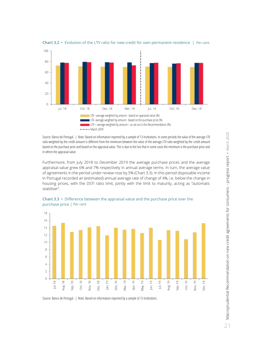

**Chart 3.2 •** Evolution of the LTV ratio for new credit for own permanent residence | Per cent

Source: Banco de Portugal. | Note: Based on information reported by a sample of 13 institutions. In some periods the value of the average LTV ratio weighted by the credit amount is different from the minimum between the value of the average LTV ratio weighted by the credit amount based on the purchase price and based on the appraisal value. This is due to the fact that in some cases the minimum is the purchase price and in others the appraisal value.

Furthermore, from July 2018 to December 2019 the average purchase prices and the average appraisal value grew 6% and 7% respectively in annual average terms. In turn, the average value of agreements in the period under review rose by 5% (Chart 3.3). In this period disposable income in Portugal recorded an (estimated) annual average rate of change of 4%, i.e. below the change in housing prices, with the DSTI ratio limit, jointly with the limit to maturity, acting as "automatic stabiliser".



**Chart 3.3 •** Difference between the appraisal value and the purchase price over the purchase price | Per cent

Source: Banco de Portugal. | Note: Based on information reported by a sample of 13 institutions.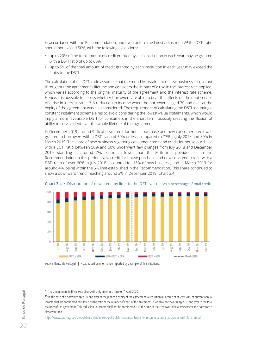In accordance with the Recommendation, and even before the latest adjustment,**<sup>12</sup>** the DSTI ratio should not exceed 50%, with the following exceptions:

- **•** up to 20% of the total amount of credit granted by each institution in each year may be granted with a DSTI ratio of up to 60%;
- **•** up to 5% of the total amount of credit granted by each institution in each year may exceed the limits to the DSTI.

The calculation of the DSTI ratio assumes that the monthly instalment of new business is constant throughout the agreement's lifetime and considers the impact of a rise in the interest rate applied, which varies according to the original maturity of the agreement and the interest rate scheme. Hence, it is possible to assess whether borrowers are able to bear the effects on the debt service of a rise in interest rates.**<sup>13</sup>** A reduction in income when the borrower is aged 70 and over at the expiry of the agreement was also considered. The requirement of calculating the DSTI assuming a constant instalment scheme aims to avoid considering the lowest-value instalments, which would imply a more favourable DSTI for consumers in the short term, possibly creating the illusion of ability to service debt over the whole lifetime of the agreement.

In December 2019 around 92% of new credit for house purchase and new consumer credit was granted to borrowers with a DSTI ratio of 50% or less, compared to 77% in July 2018 and 89% in March 2019. The share of new business regarding consumer credit and credit for house purchase with a DSTI ratio between 50% and 60% underwent few changes from July 2018 and December 2019, standing at around 7%, i.e. much lower than the 20% limit provided for in the Recommendation in this period. New credit for house purchase and new consumer credit with a DSTI ratio of over 60% in July 2018 accounted for 15% of new business, and in March 2019 for around 4%, being within the 5% limit established in the Recommendation. This share continued to show a downward trend, reaching around 3% in December 2019 (Chart 3.4).



**Chart 3.4 •** Distribution of new credit by limit to the DSTI ratio | As a percentage of total credit

Source: Banco de Portugal. | Note: Based on information reported by a sample of 13 institutions.

**<sup>12</sup>** The amendment to these exceptions will only enter into force on 1 April 2020.

**<sup>13</sup>** In the case of a borrower aged 70 and over at the planned expiry of the agreement, a reduction in income of at least 20% of current annual income shall be considered, weighted by the ratio of the number of years of the agreement in which a borrower is aged 70 and over to the total maturity of the agreement. This reduction in income shall not be considered if at the time of the creditworthiness assessment the borrower is already retired.

https://www.bportugal.pt/sites/default/files/anexos/pdf-boletim/acompanhamento\_recomendacao\_macroprudencial\_2019\_en.pdf.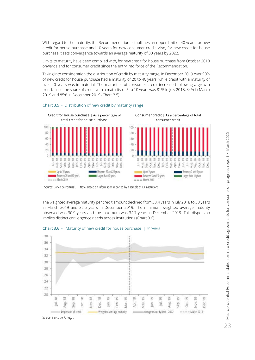With regard to the maturity, the Recommendation establishes an upper limit of 40 years for new credit for house purchase and 10 years for new consumer credit. Also, for new credit for house purchase it sets convergence towards an average maturity of 30 years by 2022.

Limits to maturity have been complied with, for new credit for house purchase from October 2018 onwards and for consumer credit since the entry into force of the Recommendation.

Taking into consideration the distribution of credit by maturity range, in December 2019 over 90% of new credit for house purchase had a maturity of 20 to 40 years, while credit with a maturity of over 40 years was immaterial. The maturities of consumer credit increased following a growth trend, since the share of credit with a maturity of 5 to 10 years was 81% in July 2018, 84% in March 2019 and 85% in December 2019 (Chart 3.5).



#### **Chart 3.5 •** Distribution of new credit by maturity range

The weighted average maturity per credit amount declined from 33.4 years in July 2018 to 33 years in March 2019 and 32.6 years in December 2019. The minimum weighted average maturity observed was 30.9 years and the maximum was 34.7 years in December 2019. This dispersion implies distinct convergence needs across institutions (Chart 3.6).



**Chart 3.6 •** Maturity of new credit for house purchase | In years

Source: Banco de Portugal.

Source: Banco de Portugal. | Note: Based on information reported by a sample of 13 institutions.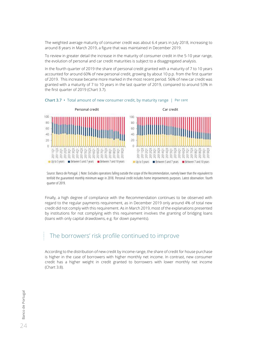The weighted average maturity of consumer credit was about 6.4 years in July 2018, increasing to around 8 years in March 2019, a figure that was maintained in December 2019.

To review in greater detail the increase in the maturity of consumer credit in the 5-10 year range, the evolution of personal and car credit maturities is subject to a disaggregated analysis.

In the fourth quarter of 2019 the share of personal credit granted with a maturity of 7 to 10 years accounted for around 60% of new personal credit, growing by about 10 p.p. from the first quarter of 2019. This increase became more marked in the most recent period. 56% of new car credit was granted with a maturity of 7 to 10 years in the last quarter of 2019, compared to around 53% in the first quarter of 2019 (Chart 3.7).



**Chart 3.7 •** Total amount of new consumer credit, by maturity range | Per cent

Source: Banco de Portugal. | Note: Excludes operations falling outside the scope of the Recommendation, namely lower than the equivalent to tenfold the guaranteed monthly minimum wage in 2018. Personal credit includes home improvements purposes. Latest observation: fourth quarter of 2019.

Finally, a high degree of compliance with the Recommendation continues to be observed with regard to the regular payments requirement, as in December 2019 only around 4% of total new credit did not comply with this requirement. As in March 2019, most of the explanations presented by institutions for not complying with this requirement involves the granting of bridging loans (loans with only capital drawdowns, e.g. for down payments).

### The borrowers' risk profile continued to improve

According to the distribution of new credit by income range, the share of credit for house purchase is higher in the case of borrowers with higher monthly net income. In contrast, new consumer credit has a higher weight in credit granted to borrowers with lower monthly net income (Chart 3.8).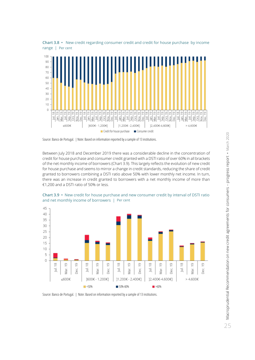

**Chart 3.8 •** New credit regarding consumer credit and credit for house purchase by income range | Per cent

Source: Banco de Portugal. | Note: Based on information reported by a sample of 13 institutions.

Between July 2018 and December 2019 there was a considerable decline in the concentration of credit for house purchase and consumer credit granted with a DSTI ratio of over 60% in all brackets of the net monthly income of borrowers (Chart 3.9). This largely reflects the evolution of new credit for house purchase and seems to mirror a change in credit standards, reducing the share of credit granted to borrowers combining a DSTI ratio above 50% with lower monthly net income. In turn, there was an increase in credit granted to borrowers with a net monthly income of more than €1,200 and a DSTI ratio of 50% or less.



**Chart 3.9 •** New credit for house purchase and new consumer credit by interval of DSTI ratio and net monthly income of borrowers | Per cent

Source: Banco de Portugal. | Note: Based on information reported by a sample of 13 institutions.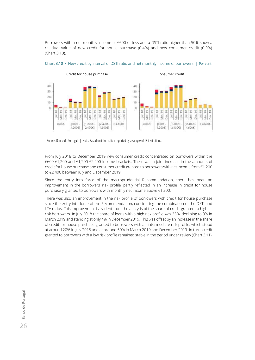Borrowers with a net monthly income of €600 or less and a DSTI ratio higher than 50% show a residual value of new credit for house purchase (0.4%) and new consumer credit (0.9%) (Chart 3.10).



**Chart 3.10 •** New credit by interval of DSTI ratio and net monthly income of borrowers | Per cent

Source: Banco de Portugal. | Note: Based on information reported by a sample of 13 institutions.

From July 2018 to December 2019 new consumer credit concentrated on borrowers within the €600-€1,200 and €1,200-€2,400 income brackets. There was a joint increase in the amounts of credit for house purchase and consumer credit granted to borrowers with net income from €1,200 to €2,400 between July and December 2019.

Since the entry into force of the macroprudential Recommendation, there has been an improvement in the borrowers' risk profile, partly reflected in an increase in credit for house purchase y granted to borrowers with monthly net income above €1,200.

There was also an improvement in the risk profile of borrowers with credit for house purchase since the entry into force of the Recommendation, considering the combination of the DSTI and LTV ratios. This improvement is evident from the analysis of the share of credit granted to higherrisk borrowers. In July 2018 the share of loans with a high risk profile was 35%, declining to 9% in March 2019 and standing at only 4% in December 2019. This was offset by an increase in the share of credit for house purchase granted to borrowers with an intermediate risk profile, which stood at around 20% in July 2018 and at around 50% in March 2019 and December 2019. In turn, credit granted to borrowers with a low risk profile remained stable in the period under review (Chart 3.11).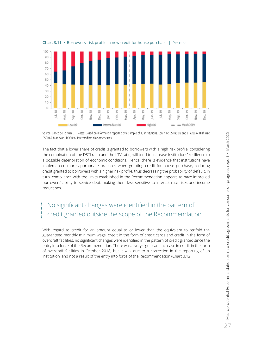

**Chart 3.11 •** Borrowers' risk profile in new credit for house purchase | Per cent

Source: Banco de Portugal. | Notes: Based on information reported by a sample of 13 institutions. Low risk: DSTI≤50% and LTV≤80%; High risk: DSTI≤60 % and/or LTV≤90 %; Intermediate risk: other cases.

The fact that a lower share of credit is granted to borrowers with a high risk profile, considering the combination of the DSTI ratio and the LTV ratio, will tend to increase institutions' resilience to a possible deterioration of economic conditions. Hence, there is evidence that institutions have implemented more appropriate practices when granting credit for house purchase, reducing credit granted to borrowers with a higher risk profile, thus decreasing the probability of default. In turn, compliance with the limits established in the Recommendation appears to have improved borrowers' ability to service debt, making them less sensitive to interest rate rises and income reductions.

## No significant changes were identified in the pattern of credit granted outside the scope of the Recommendation

With regard to credit for an amount equal to or lower than the equivalent to tenfold the guaranteed monthly minimum wage, credit in the form of credit cards and credit in the form of overdraft facilities, no significant changes were identified in the pattern of credit granted since the entry into force of the Recommendation. There was a very significant increase in credit in the form of overdraft facilities in October 2018, but it was due to a correction in the reporting of an institution, and not a result of the entry into force of the Recommendation (Chart 3.12).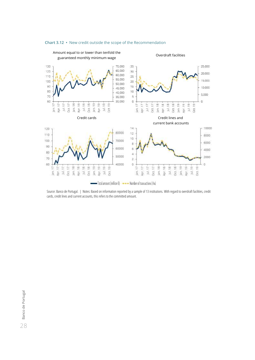

#### **Chart 3.12 •** New credit outside the scope of the Recommendation

Source: Banco de Portugal. | Notes: Based on information reported by a sample of 13 institutions. With regard to overdraft facilities, credit cards, credit lines and current accounts, this refers to the committed amount.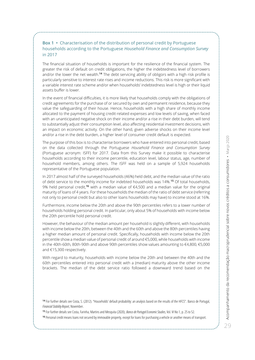#### <span id="page-30-0"></span>**Box 1 •** Characterisation of the distribution of personal credit by Portuguese households according to the Portuguese *Household Finance and Consumption Survey* in 2017

The financial situation of households is important for the resilience of the financial system. The greater the risk of default on credit obligations, the higher the indebtedness level of borrowers and/or the lower the net wealth.**<sup>14</sup>** The debt servicing ability of obligors with a high risk profile is particularly sensitive to interest rate rises and income reductions. This risk is more significant with a variable interest rate scheme and/or when households' indebtedness level is high or their liquid assets buffer is lower.

In the event of financial difficulties, it is more likely that households comply with the obligations of credit agreements for the purchase of or secured by own and permanent residence, because they value the safeguarding of their house. Hence, households with a high share of monthly income allocated to the payment of housing credit-related expenses and low levels of saving, when faced with an unanticipated negative shock on their income and/or a rise in their debt burden, will tend to substantially adjust their consumption level, also affecting residential investment decisions, with an impact on economic activity. On the other hand, given adverse shocks on their income level and/or a rise in the debt burden, a higher level of consumer credit default is expected.

The purpose of this box is to characterise borrowers who have entered into personal credit, based on the data collected through the Portuguese *Household Finance and Consumption Survey* (Portuguese acronym: ISFF) for 2017. Data from this Survey make it possible to characterise households according to their income percentile, education level, labour status, age, number of household members, among others. The ISFF was held on a sample of 5,924 households representative of the Portuguese population.

In 2017 almost half of the surveyed households (46%) held debt, and the median value of the ratio of debt service to the monthly income for indebted households was 14%.**<sup>15</sup>** Of total households, 9% held personal credit,**<sup>16</sup>** with a median value of €4,500 and a median value for the original maturity of loans of 4 years. For these households the median of the ratio of debt service (referring not only to personal credit but also to other loans households may have) to income stood at 16%.

Furthermore, income below the 20th and above the 90th percentiles refers to a lower number of households holding personal credit. In particular, only about 5% of households with income below the 20th percentile hold personal credit.

However, the behaviour of the median amount per household is slightly different, with households with income below the 20th, between the 40th and the 60th and above the 80th percentiles having a higher median amount of personal credit. Specifically, households with income below the 20th percentile show a median value of personal credit of around €5,000, while households with income in the 40th-60th, 80th-90th and above 90th percentiles show values amounting to €4,800, €5,000 and €15,300 respectively.

With regard to maturity, households with income below the 20th and between the 40th and the 60th percentiles entered into personal credit with a (median) maturity above the other income brackets. The median of the debt service ratio followed a downward trend based on the

**<sup>14</sup>** For further details see Costa, S. (2012). "Households' default probability: an analysis based on the results of the HFCS". Banco de Portugal, *Financial Stability Report*, November.

**<sup>15</sup>** For further details see Costa, Farinha, Martins and Mesquita (2020), *Banco de Portugal Economic Studies*, Vol. VI No 1, p. 25 to 52.

**<sup>16</sup>** Personal credit means loans not secured by immovable property, except for loans for purchasing a vehicle or another means of transport.

 $79$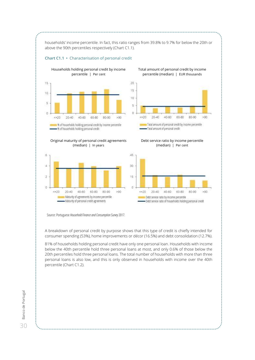

#### **Chart C1.1 •** Characterisation of personal credit



Households holding personal credit by income Total amount of personal credit by income percentile (median) | EUR thousands



Original maturity of personal credit agreements (median) | In years



Debt service ratio by income percentile (median) | Per cent



Source: Portuguese *Household Finance and Consumption Survey* 2017.

A breakdown of personal credit by purpose shows that this type of credit is chiefly intended for consumer spending (53%), home improvements or décor (16.5%) and debt consolidation (12.7%).

81% of households holding personal credit have only one personal loan. Households with income below the 40th percentile hold three personal loans at most, and only 0.6% of those below the 20th percentiles hold three personal loans. The total number of households with more than three personal loans is also low, and this is only observed in households with income over the 40th percentile (Chart C1.2).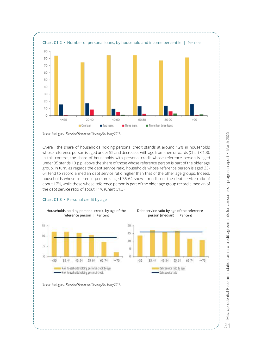

Source: Portuguese *Household Finance and Consumption Survey* 2017.

Overall, the share of households holding personal credit stands at around 12% in households whose reference person is aged under 55 and decreases with age from then onwards (Chart C1.3). In this context, the share of households with personal credit whose reference person is aged under 35 stands 10 p.p. above the share of those whose reference person is part of the older age group. In turn, as regards the debt service ratio, households whose reference person is aged 35- 64 tend to record a median debt service ratio higher than that of the other age groups. Indeed, households whose reference person is aged 35-64 show a median of the debt service ratio of about 17%, while those whose reference person is part of the older age group record a median of the debt service ratio of about 11% (Chart C1.3).

#### **Chart C1.3 •** Personal credit by age

Households holding personal credit, by age of the reference person | Per cent



Debt service ratio by age of the reference person (median) | Per cent



Source: Portuguese *Household Finance and Consumption Survey* 2017.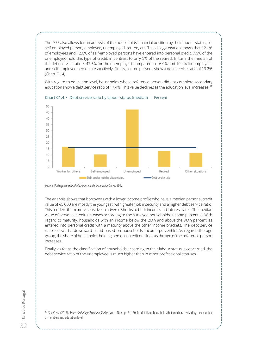The ISFF also allows for an analysis of the households' financial position by their labour status, i.e. self-employed person, employee, unemployed, retired, etc. This disaggregation shows that 12.1% of employees and 12.6% of self-employed persons have entered into personal credit. 7.6% of the unemployed hold this type of credit, in contrast to only 5% of the retired. In turn, the median of the debt service ratio is 47.5% for the unemployed, compared to 16.9% and 10.4% for employees and self-employed persons respectively. Finally, retired persons show a debt service ratio of 13.2% (Chart C1.4).

With regard to education level, households whose reference person did not complete secondary education show a debt service ratio of 17.4%. This value declines as the education level increases. **17**



**Chart C1.4 •** Debt service ratio by labour status (median) | Per cent

Source: Portuguese *Household Finance and Consumption Survey* 2017.

The analysis shows that borrowers with a lower income profile who have a median personal credit value of €5,000 are mostly the youngest, with greater job insecurity and a higher debt service ratio. This renders them more sensitive to adverse shocks to both income and interest rates. The median value of personal credit increases according to the surveyed households' income percentile. With regard to maturity, households with an income below the 20th and above the 90th percentiles entered into personal credit with a maturity above the other income brackets. The debt service ratio followed a downward trend based on households' income percentile. As regards the age group, the share of households holding personal credit declines as the age of the reference person increases.

Finally, as far as the classification of households according to their labour status is concerned, the debt service ratio of the unemployed is much higher than in other professional statuses.

**<sup>17</sup>** See Costa (2016), *Banco de Portugal Economic Studies*, Vol. II No 4, p.15 to 60, for details on households that are characterised by their number of members and education level.